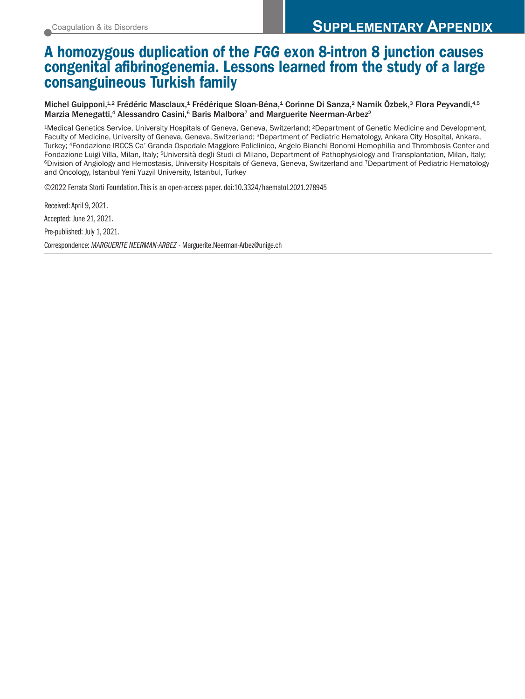# A homozygous duplication of the *FGG* exon 8-intron 8 junction causes congenital afibrinogenemia. Lessons learned from the study of a large consanguineous Turkish family

Michel Guipponi,<sup>1,2</sup> Frédéric Masclaux,<sup>1</sup> Frédérique Sloan-Béna,<sup>1</sup> Corinne Di Sanza,<sup>2</sup> Namik Özbek,<sup>3</sup> Flora Peyvandi,<sup>4,5</sup> Marzia Menegatti,<sup>4</sup> Alessandro Casini,<sup>6</sup> Baris Malbora<sup>7</sup> and Marguerite Neerman-Arbez<sup>2</sup>

1Medical Genetics Service, University Hospitals of Geneva, Geneva, Switzerland; 2Department of Genetic Medicine and Development, Faculty of Medicine, University of Geneva, Geneva, Switzerland; 3Department of Pediatric Hematology, Ankara City Hospital, Ankara, Turkey; 4Fondazione IRCCS Ca' Granda Ospedale Maggiore Policlinico, Angelo Bianchi Bonomi Hemophilia and Thrombosis Center and Fondazione Luigi Villa, Milan, Italy; <sup>5</sup>Università degli Studi di Milano, Department of Pathophysiology and Transplantation, Milan, Italy;<br><sup>6</sup>Division of Angiology and Hemostasis, University Hospitals of Geneva, Geneva, S and Oncology, Istanbul Yeni Yuzyil University, Istanbul, Turkey

©2022 Ferrata Storti Foundation. This is an open-access paper. doi:10.3324/haematol.2021.278945

Received: April 9, 2021. Accepted: June 21, 2021. Pre-published: July 1, 2021. Correspondence: *MARGUERITE NEERMAN-ARBEZ* - Marguerite.Neerman-Arbez@unige.ch